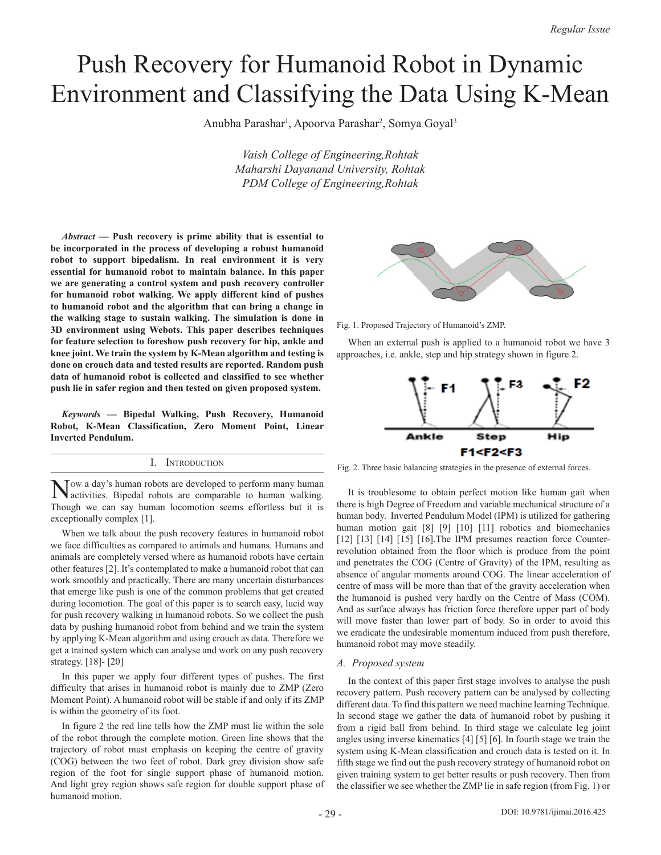# Push Recovery for Humanoid Robot in Dynamic Environment and Classifying the Data Using K-Mean

Anubha Parashar<sup>1</sup>, Apoorva Parashar<sup>2</sup>, Somya Goyal<sup>3</sup>

*Vaish College of Engineering,Rohtak Maharshi Dayanand University, Rohtak PDM College of Engineering,Rohtak*

*Abstract* **— Push recovery is prime ability that is essential to be incorporated in the process of developing a robust humanoid robot to support bipedalism. In real environment it is very essential for humanoid robot to maintain balance. In this paper we are generating a control system and push recovery controller for humanoid robot walking. We apply different kind of pushes to humanoid robot and the algorithm that can bring a change in the walking stage to sustain walking. The simulation is done in 3D environment using Webots. This paper describes techniques for feature selection to foreshow push recovery for hip, ankle and knee joint. We train the system by K-Mean algorithm and testing is done on crouch data and tested results are reported. Random push data of humanoid robot is collected and classified to see whether push lie in safer region and then tested on given proposed system.**

*Keywords* **— Bipedal Walking, Push Recovery, Humanoid Robot, K-Mean Classification, Zero Moment Point, Linear Inverted Pendulum.**

# I. Introduction

Now a day's human robots are developed to perform many human activities. Bipedal robots are comparable to human walking. Though we can say human locomotion seems effortless but it is exceptionally complex [1].

When we talk about the push recovery features in humanoid robot we face difficulties as compared to animals and humans. Humans and animals are completely versed where as humanoid robots have certain other features [2]. It's contemplated to make a humanoid robot that can work smoothly and practically. There are many uncertain disturbances that emerge like push is one of the common problems that get created during locomotion. The goal of this paper is to search easy, lucid way for push recovery walking in humanoid robots. So we collect the push data by pushing humanoid robot from behind and we train the system by applying K-Mean algorithm and using crouch as data. Therefore we get a trained system which can analyse and work on any push recovery strategy. [18]- [20]

In this paper we apply four different types of pushes. The first difficulty that arises in humanoid robot is mainly due to ZMP (Zero Moment Point). A humanoid robot will be stable if and only if its ZMP is within the geometry of its foot.

In figure 2 the red line tells how the ZMP must lie within the sole of the robot through the complete motion. Green line shows that the trajectory of robot must emphasis on keeping the centre of gravity (COG) between the two feet of robot. Dark grey division show safe region of the foot for single support phase of humanoid motion. And light grey region shows safe region for double support phase of humanoid motion.



Fig. 1. Proposed Trajectory of Humanoid's ZMP.

When an external push is applied to a humanoid robot we have 3 approaches, i.e. ankle, step and hip strategy shown in figure 2.



Fig. 2. Three basic balancing strategies in the presence of external forces.

It is troublesome to obtain perfect motion like human gait when there is high Degree of Freedom and variable mechanical structure of a human body. Inverted Pendulum Model (IPM) is utilized for gathering human motion gait [8] [9] [10] [11] robotics and biomechanics [12] [13] [14] [15] [16]. The IPM presumes reaction force Counterrevolution obtained from the floor which is produce from the point and penetrates the COG (Centre of Gravity) of the IPM, resulting as absence of angular moments around COG. The linear acceleration of centre of mass will be more than that of the gravity acceleration when the humanoid is pushed very hardly on the Centre of Mass (COM). And as surface always has friction force therefore upper part of body will move faster than lower part of body. So in order to avoid this we eradicate the undesirable momentum induced from push therefore, humanoid robot may move steadily.

# *A. Proposed system*

In the context of this paper first stage involves to analyse the push recovery pattern. Push recovery pattern can be analysed by collecting different data. To find this pattern we need machine learning Technique. In second stage we gather the data of humanoid robot by pushing it from a rigid ball from behind. In third stage we calculate leg joint angles using inverse kinematics [4] [5] [6]. In fourth stage we train the system using K-Mean classification and crouch data is tested on it. In fifth stage we find out the push recovery strategy of humanoid robot on given training system to get better results or push recovery. Then from the classifier we see whether the ZMP lie in safe region (from Fig. 1) or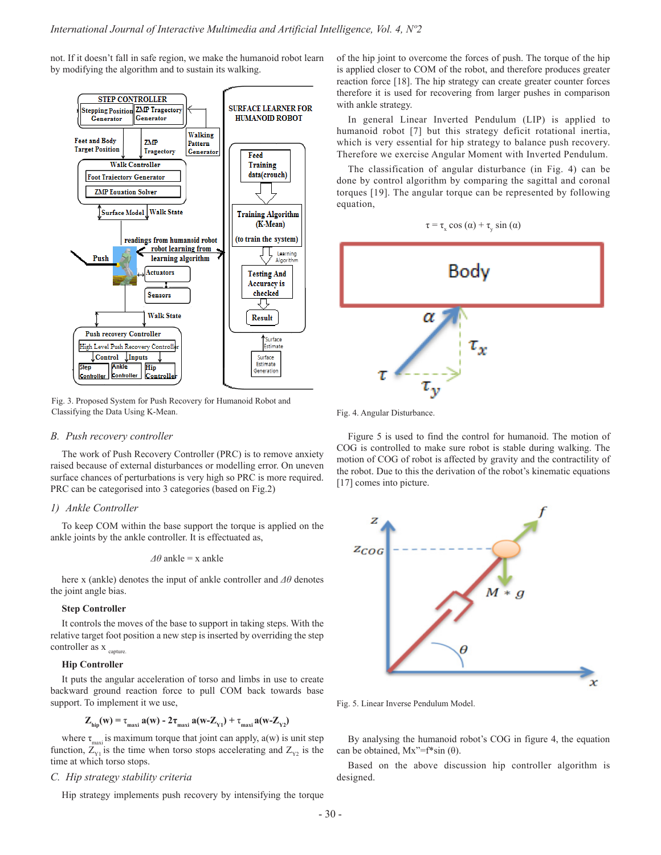not. If it doesn't fall in safe region, we make the humanoid robot learn by modifying the algorithm and to sustain its walking.



Fig. 3. Proposed System for Push Recovery for Humanoid Robot and Classifying the Data Using K-Mean.

# *B. Push recovery controller*

The work of Push Recovery Controller (PRC) is to remove anxiety raised because of external disturbances or modelling error. On uneven surface chances of perturbations is very high so PRC is more required. PRC can be categorised into 3 categories (based on Fig.2)

# *1) Ankle Controller*

To keep COM within the base support the torque is applied on the ankle joints by the ankle controller. It is effectuated as,

$$
\Delta\theta
$$
ankle = x ankle

here x (ankle) denotes the input of ankle controller and *Δθ* denotes the joint angle bias.

# **Step Controller**

It controls the moves of the base to support in taking steps. With the relative target foot position a new step is inserted by overriding the step controller as  $x_{\text{capture}}$ 

# **Hip Controller**

It puts the angular acceleration of torso and limbs in use to create backward ground reaction force to pull COM back towards base support. To implement it we use,

$$
Z_{\text{hip}}(w) = \tau_{\text{maxi}} a(w) - 2\tau_{\text{maxi}} a(w - Z_{\text{Y1}}) + \tau_{\text{maxi}} a(w - Z_{\text{Y2}})
$$

where  $\tau_{\text{max}}$  is maximum torque that joint can apply,  $a(w)$  is unit step function,  $Z_{y1}$  is the time when torso stops accelerating and  $Z_{y2}$  is the time at which torso stops.

# *C. Hip strategy stability criteria*

Hip strategy implements push recovery by intensifying the torque

of the hip joint to overcome the forces of push. The torque of the hip is applied closer to COM of the robot, and therefore produces greater reaction force [18]. The hip strategy can create greater counter forces therefore it is used for recovering from larger pushes in comparison with ankle strategy.

In general Linear Inverted Pendulum (LIP) is applied to humanoid robot [7] but this strategy deficit rotational inertia, which is very essential for hip strategy to balance push recovery. Therefore we exercise Angular Moment with Inverted Pendulum.

The classification of angular disturbance (in Fig. 4) can be done by control algorithm by comparing the sagittal and coronal torques [19]. The angular torque can be represented by following equation,





Fig. 4. Angular Disturbance.

Figure 5 is used to find the control for humanoid. The motion of COG is controlled to make sure robot is stable during walking. The motion of COG of robot is affected by gravity and the contractility of the robot. Due to this the derivation of the robot's kinematic equations [17] comes into picture.



Fig. 5. Linear Inverse Pendulum Model.

By analysing the humanoid robot's COG in figure 4, the equation can be obtained,  $Mx''=f^*sin(\theta)$ .

Based on the above discussion hip controller algorithm is designed.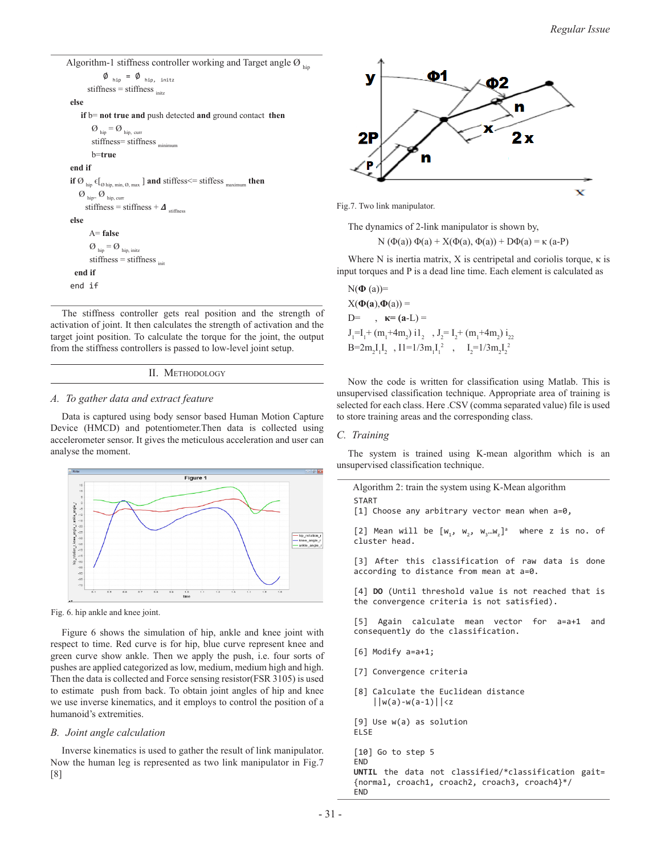```
Algorithm-1 stiffness controller working and Target angle \varnothing\emptyset _{\text{hip}} = \emptyset _{\text{hip, initz}}stiffness = stiffness _{\text{initz}}else
       if b= not true and push detected and ground contact then
            \boldsymbol{O}_{\text{hip}} = \boldsymbol{O}_{\text{hip, curr}}stiffness= stiffness minimum
            b=true
 end if
 if \emptyset hip \epsilon[\emptyset hip, min, \emptyset max ] and stiffess \epsilon= stiffess maximum then
     \emptyset hip= \emptyset hip, curr
        stiffness = stiffness + \Delta<sub>stiffness</sub>
 else
           A= false
          \boldsymbol{O}_{\text{hip}} = \boldsymbol{O}_{\text{hip, initz}}\text{stiffness} = \text{stiffness}<sub>init</sub>
    end if
 end if
```
The stiffness controller gets real position and the strength of activation of joint. It then calculates the strength of activation and the target joint position. To calculate the torque for the joint, the output from the stiffness controllers is passed to low-level joint setup.

```
II. Methodology
```
# *A. To gather data and extract feature*

Data is captured using body sensor based Human Motion Capture Device (HMCD) and potentiometer.Then data is collected using accelerometer sensor. It gives the meticulous acceleration and user can analyse the moment.



Fig. 6. hip ankle and knee joint.

Figure 6 shows the simulation of hip, ankle and knee joint with respect to time. Red curve is for hip, blue curve represent knee and green curve show ankle. Then we apply the push, i.e. four sorts of pushes are applied categorized as low, medium, medium high and high. Then the data is collected and Force sensing resistor(FSR 3105) is used to estimate push from back. To obtain joint angles of hip and knee we use inverse kinematics, and it employs to control the position of a humanoid's extremities.

# *B. Joint angle calculation*

Inverse kinematics is used to gather the result of link manipulator. Now the human leg is represented as two link manipulator in Fig.7 [8]



Fig.7. Two link manipulator.

The dynamics of 2-link manipulator is shown by,

```
N (\Phi(a)) \Phi(a) + X(\Phi(a), \Phi(a)) + D\Phi(a) = \kappa (a-P)
```
Where N is inertia matrix, X is centripetal and coriolis torque,  $\kappa$  is input torques and P is a dead line time. Each element is calculated as

 $N(\Phi(a))=$  $X(\Phi(a), \Phi(a)) =$ D=,  $κ=(a-L)$  =  $J_1=I_1+(m_1+4m_2) i1_2$ ,  $J_2=I_2+(m_1+4m_2) i_{22}$  $B = 2m_2 I_1 I_2$ ,  $I1 = 1/3m_1 I_1^2$ ,  $I_2 = 1/3m_2 I_2^2$ 

Now the code is written for classification using Matlab. This is unsupervised classification technique. Appropriate area of training is selected for each class. Here .CSV (comma separated value) file is used to store training areas and the corresponding class.

# *C. Training*

The system is trained using K-mean algorithm which is an unsupervised classification technique.

Algorithm 2: train the system using K-Mean algorithm **START** 

[1] Choose any arbitrary vector mean when a=0,

[2] Mean will be  $[w_1, w_2, w_3...w_z]^a$  where z is no. of cluster head.

[3] After this classification of raw data is done according to distance from mean at a=0.

[4] **DO** (Until threshold value is not reached that is the convergence criteria is not satisfied).

[5] Again calculate mean vector for a=a+1 and consequently do the classification.

- [6] Modify a=a+1;
- [7] Convergence criteria
- [8] Calculate the Euclidean distance  $||w(a)-w(a-1)|| < z$

```
[9] Use w(a) as solution
ELSE
```

```
[10] Go to step 5
```

```
END
```
**UNTIL** the data not classified/\*classification gait= {normal, croach1, croach2, croach3, croach4}\*/ END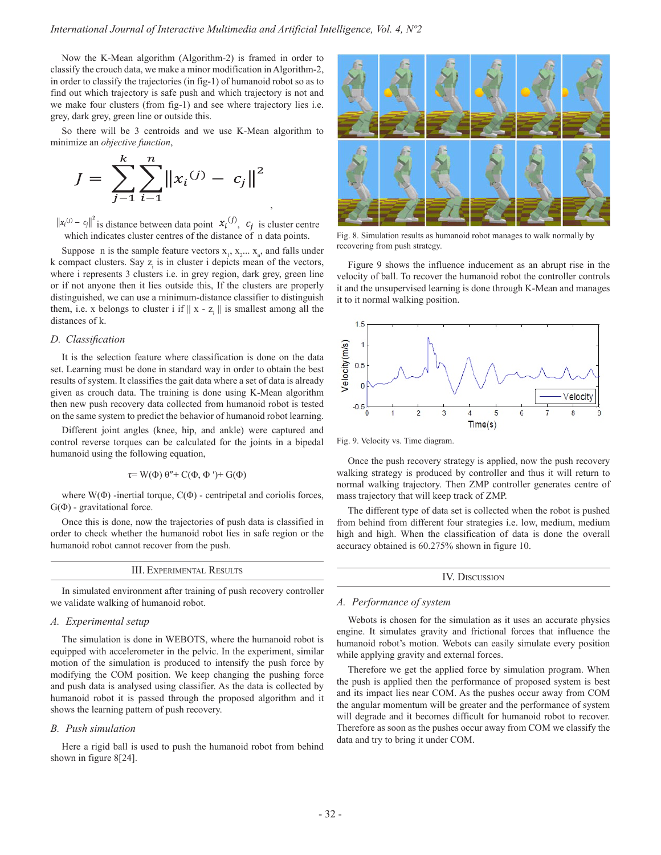,

Now the K-Mean algorithm (Algorithm-2) is framed in order to classify the crouch data, we make a minor modification in Algorithm-2, in order to classify the trajectories (in fig-1) of humanoid robot so as to find out which trajectory is safe push and which trajectory is not and we make four clusters (from fig-1) and see where trajectory lies i.e. grey, dark grey, green line or outside this.

So there will be 3 centroids and we use K-Mean algorithm to minimize an *objective function*,

$$
J = \sum_{j=1}^{k} \sum_{i=1}^{n} ||x_i^{(j)} - c_j||^2
$$

 $\mathbf{r}$ 

is distance between data point  $x_i^{(j)}$ ,  $c_j$  is cluster centre which indicates cluster centres of the distance of n data points.

Suppose n is the sample feature vectors  $x_1, x_2, \ldots, x_n$ , and falls under k compact clusters. Say  $z_i$  is in cluster i depicts mean of the vectors, where i represents 3 clusters i.e. in grey region, dark grey, green line or if not anyone then it lies outside this, If the clusters are properly distinguished, we can use a minimum-distance classifier to distinguish them, i.e. x belongs to cluster i if  $||x - z_i||$  is smallest among all the distances of k.

# *D. Classification*

It is the selection feature where classification is done on the data set. Learning must be done in standard way in order to obtain the best results of system. It classifies the gait data where a set of data is already given as crouch data. The training is done using K-Mean algorithm then new push recovery data collected from humanoid robot is tested on the same system to predict the behavior of humanoid robot learning.

Different joint angles (knee, hip, and ankle) were captured and control reverse torques can be calculated for the joints in a bipedal humanoid using the following equation,

$$
\tau = W(\Phi) \theta'' + C(\Phi, \Phi') + G(\Phi)
$$

where  $W(\Phi)$  -inertial torque,  $C(\Phi)$  - centripetal and coriolis forces,  $G(\Phi)$  - gravitational force.

Once this is done, now the trajectories of push data is classified in order to check whether the humanoid robot lies in safe region or the humanoid robot cannot recover from the push.

| <b>III. EXPERIMENTAL RESULTS</b> |
|----------------------------------|
|----------------------------------|

In simulated environment after training of push recovery controller we validate walking of humanoid robot.

# *A. Experimental setup*

The simulation is done in WEBOTS, where the humanoid robot is equipped with accelerometer in the pelvic. In the experiment, similar motion of the simulation is produced to intensify the push force by modifying the COM position. We keep changing the pushing force and push data is analysed using classifier. As the data is collected by humanoid robot it is passed through the proposed algorithm and it shows the learning pattern of push recovery.

#### *B. Push simulation*

Here a rigid ball is used to push the humanoid robot from behind shown in figure 8[24].



Fig. 8. Simulation results as humanoid robot manages to walk normally by recovering from push strategy.

Figure 9 shows the influence inducement as an abrupt rise in the velocity of ball. To recover the humanoid robot the controller controls it and the unsupervised learning is done through K-Mean and manages it to it normal walking position.



Fig. 9. Velocity vs. Time diagram.

Once the push recovery strategy is applied, now the push recovery walking strategy is produced by controller and thus it will return to normal walking trajectory. Then ZMP controller generates centre of mass trajectory that will keep track of ZMP.

The different type of data set is collected when the robot is pushed from behind from different four strategies i.e. low, medium, medium high and high. When the classification of data is done the overall accuracy obtained is 60.275% shown in figure 10.

IV. Discussion

#### *A. Performance of system*

Webots is chosen for the simulation as it uses an accurate physics engine. It simulates gravity and frictional forces that influence the humanoid robot's motion. Webots can easily simulate every position while applying gravity and external forces.

Therefore we get the applied force by simulation program. When the push is applied then the performance of proposed system is best and its impact lies near COM. As the pushes occur away from COM the angular momentum will be greater and the performance of system will degrade and it becomes difficult for humanoid robot to recover. Therefore as soon as the pushes occur away from COM we classify the data and try to bring it under COM.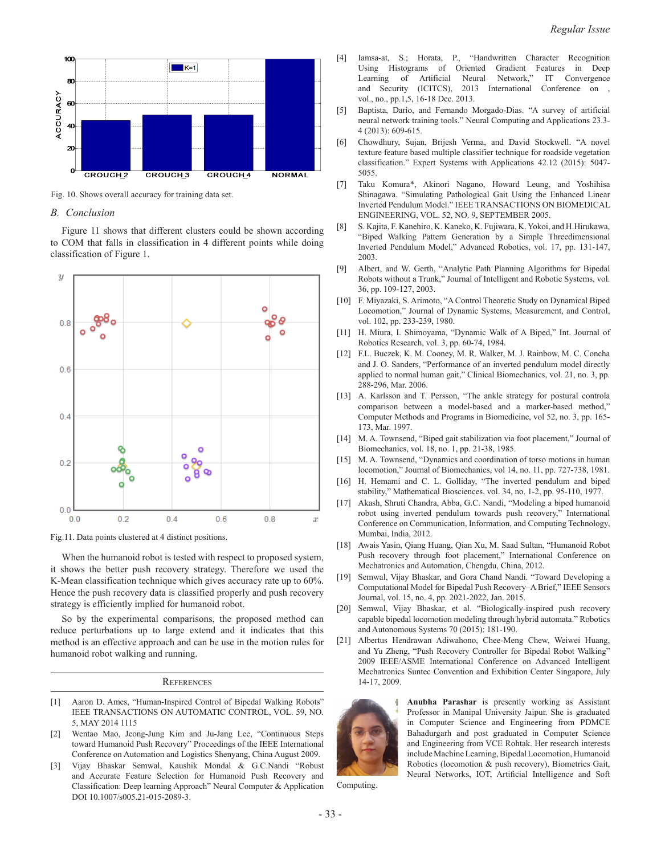

Fig. 10. Shows overall accuracy for training data set.

#### *B. Conclusion*

Figure 11 shows that different clusters could be shown according to COM that falls in classification in 4 different points while doing classification of Figure 1.



Fig.11. Data points clustered at 4 distinct positions.

When the humanoid robot is tested with respect to proposed system, it shows the better push recovery strategy. Therefore we used the K-Mean classification technique which gives accuracy rate up to 60%. Hence the push recovery data is classified properly and push recovery strategy is efficiently implied for humanoid robot.

So by the experimental comparisons, the proposed method can reduce perturbations up to large extend and it indicates that this method is an effective approach and can be use in the motion rules for humanoid robot walking and running.

#### **REFERENCES**

- [1] Aaron D. Ames, "Human-Inspired Control of Bipedal Walking Robots" IEEE TRANSACTIONS ON AUTOMATIC CONTROL, VOL. 59, NO. 5, MAY 2014 1115
- [2] Wentao Mao, Jeong-Jung Kim and Ju-Jang Lee, "Continuous Steps toward Humanoid Push Recovery" Proceedings of the IEEE International Conference on Automation and Logistics Shenyang, China August 2009.
- [3] Vijay Bhaskar Semwal, Kaushik Mondal & G.C.Nandi "Robust and Accurate Feature Selection for Humanoid Push Recovery and Classification: Deep learning Approach" Neural Computer & Application DOI 10.1007/s005.21-015-2089-3.
- [4] Iamsa-at, S.; Horata, P., "Handwritten Character Recognition Using Histograms of Oriented Gradient Features in Deep Learning of Artificial Neural Network," IT Convergence and Security (ICITCS), 2013 International Conference on , vol., no., pp.1,5, 16-18 Dec. 2013.
- [5] Baptista, Darío, and Fernando Morgado-Dias. "A survey of artificial neural network training tools." Neural Computing and Applications 23.3- 4 (2013): 609-615.
- [6] Chowdhury, Sujan, Brijesh Verma, and David Stockwell. "A novel texture feature based multiple classifier technique for roadside vegetation classification." Expert Systems with Applications 42.12 (2015): 5047- 5055.
- [7] Taku Komura\*, Akinori Nagano, Howard Leung, and Yoshihisa Shinagawa. "Simulating Pathological Gait Using the Enhanced Linear Inverted Pendulum Model." IEEE TRANSACTIONS ON BIOMEDICAL ENGINEERING, VOL. 52, NO. 9, SEPTEMBER 2005.
- [8] S. Kajita, F. Kanehiro, K. Kaneko, K. Fujiwara, K. Yokoi, and H.Hirukawa, "Biped Walking Pattern Generation by a Simple Threedimensional Inverted Pendulum Model," Advanced Robotics, vol. 17, pp. 131-147, 2003.
- [9] Albert, and W. Gerth, "Analytic Path Planning Algorithms for Bipedal Robots without a Trunk," Journal of Intelligent and Robotic Systems, vol. 36, pp. 109-127, 2003.
- [10] F. Miyazaki, S. Arimoto, "A Control Theoretic Study on Dynamical Biped Locomotion," Journal of Dynamic Systems, Measurement, and Control, vol. 102, pp. 233-239, 1980.
- [11] H. Miura, I. Shimoyama, "Dynamic Walk of A Biped," Int. Journal of Robotics Research, vol. 3, pp. 60-74, 1984.
- [12] F.L. Buczek, K. M. Cooney, M. R. Walker, M. J. Rainbow, M. C. Concha and J. O. Sanders, "Performance of an inverted pendulum model directly applied to normal human gait," Clinical Biomechanics, vol. 21, no. 3, pp. 288-296, Mar. 2006.
- [13] A. Karlsson and T. Persson, "The ankle strategy for postural controla comparison between a model-based and a marker-based method," Computer Methods and Programs in Biomedicine, vol 52, no. 3, pp. 165- 173, Mar. 1997.
- [14] M. A. Townsend, "Biped gait stabilization via foot placement," Journal of Biomechanics, vol. 18, no. 1, pp. 21-38, 1985.
- [15] M. A. Townsend, "Dynamics and coordination of torso motions in human locomotion," Journal of Biomechanics, vol 14, no. 11, pp. 727-738, 1981.
- [16] H. Hemami and C. L. Golliday, "The inverted pendulum and biped stability," Mathematical Biosciences, vol. 34, no. 1-2, pp. 95-110, 1977.
- [17] Akash, Shruti Chandra, Abba, G.C. Nandi, "Modeling a biped humanoid robot using inverted pendulum towards push recovery," International Conference on Communication, Information, and Computing Technology, Mumbai, India, 2012.
- [18] Awais Yasin, Qiang Huang, Qian Xu, M. Saad Sultan, "Humanoid Robot Push recovery through foot placement," International Conference on Mechatronics and Automation, Chengdu, China, 2012.
- [19] Semwal, Vijay Bhaskar, and Gora Chand Nandi. "Toward Developing a Computational Model for Bipedal Push Recovery–A Brief," IEEE Sensors Journal, vol. 15, no. 4, pp. 2021-2022, Jan. 2015.
- [20] Semwal, Vijay Bhaskar, et al. "Biologically-inspired push recovery capable bipedal locomotion modeling through hybrid automata." Robotics and Autonomous Systems 70 (2015): 181-190.
- [21] Albertus Hendrawan Adiwahono, Chee-Meng Chew, Weiwei Huang, and Yu Zheng, "Push Recovery Controller for Bipedal Robot Walking" 2009 IEEE/ASME International Conference on Advanced Intelligent Mechatronics Suntec Convention and Exhibition Center Singapore, July 14-17, 2009.



**Anubha Parashar** is presently working as Assistant Professor in Manipal University Jaipur. She is graduated in Computer Science and Engineering from PDMCE Bahadurgarh and post graduated in Computer Science and Engineering from VCE Rohtak. Her research interests include Machine Learning, Bipedal Locomotion, Humanoid Robotics (locomotion & push recovery), Biometrics Gait, Neural Networks, IOT, Artificial Intelligence and Soft

Computing.